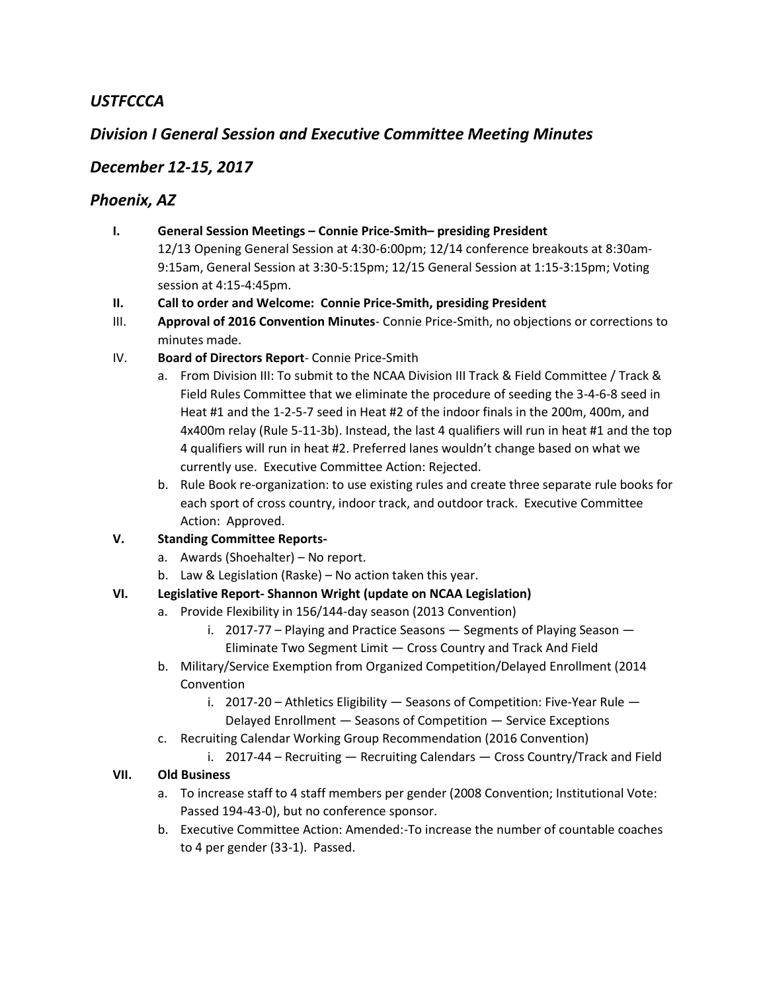# *USTFCCCA*

# *Division I General Session and Executive Committee Meeting Minutes*

## *December 12-15, 2017*

## *Phoenix, AZ*

- **I. General Session Meetings – Connie Price-Smith– presiding President** 12/13 Opening General Session at 4:30-6:00pm; 12/14 conference breakouts at 8:30am-9:15am, General Session at 3:30-5:15pm; 12/15 General Session at 1:15-3:15pm; Voting session at 4:15-4:45pm.
- **II. Call to order and Welcome: Connie Price-Smith, presiding President**
- III. **Approval of 2016 Convention Minutes** Connie Price-Smith, no objections or corrections to minutes made.
- IV. **Board of Directors Report** Connie Price-Smith
	- a. From Division III: To submit to the NCAA Division III Track & Field Committee / Track & Field Rules Committee that we eliminate the procedure of seeding the 3-4-6-8 seed in Heat #1 and the 1-2-5-7 seed in Heat #2 of the indoor finals in the 200m, 400m, and 4x400m relay (Rule 5-11-3b). Instead, the last 4 qualifiers will run in heat #1 and the top 4 qualifiers will run in heat #2. Preferred lanes wouldn't change based on what we currently use. Executive Committee Action: Rejected.
	- b. Rule Book re-organization: to use existing rules and create three separate rule books for each sport of cross country, indoor track, and outdoor track. Executive Committee Action: Approved.

### **V. Standing Committee Reports-**

- a. Awards (Shoehalter) No report.
- b. Law & Legislation (Raske) No action taken this year.

### **VI. Legislative Report- Shannon Wright (update on NCAA Legislation)**

- a. Provide Flexibility in 156/144-day season (2013 Convention)
	- i. 2017-77 Playing and Practice Seasons Segments of Playing Season Eliminate Two Segment Limit — Cross Country and Track And Field
- b. Military/Service Exemption from Organized Competition/Delayed Enrollment (2014 **Convention** 
	- i. 2017-20 Athletics Eligibility Seasons of Competition: Five-Year Rule Delayed Enrollment — Seasons of Competition — Service Exceptions
- c. Recruiting Calendar Working Group Recommendation (2016 Convention)
	- i. 2017-44 Recruiting Recruiting Calendars Cross Country/Track and Field

### **VII. Old Business**

- a. To increase staff to 4 staff members per gender (2008 Convention; Institutional Vote: Passed 194-43-0), but no conference sponsor.
- b. Executive Committee Action: Amended:-To increase the number of countable coaches to 4 per gender (33-1). Passed.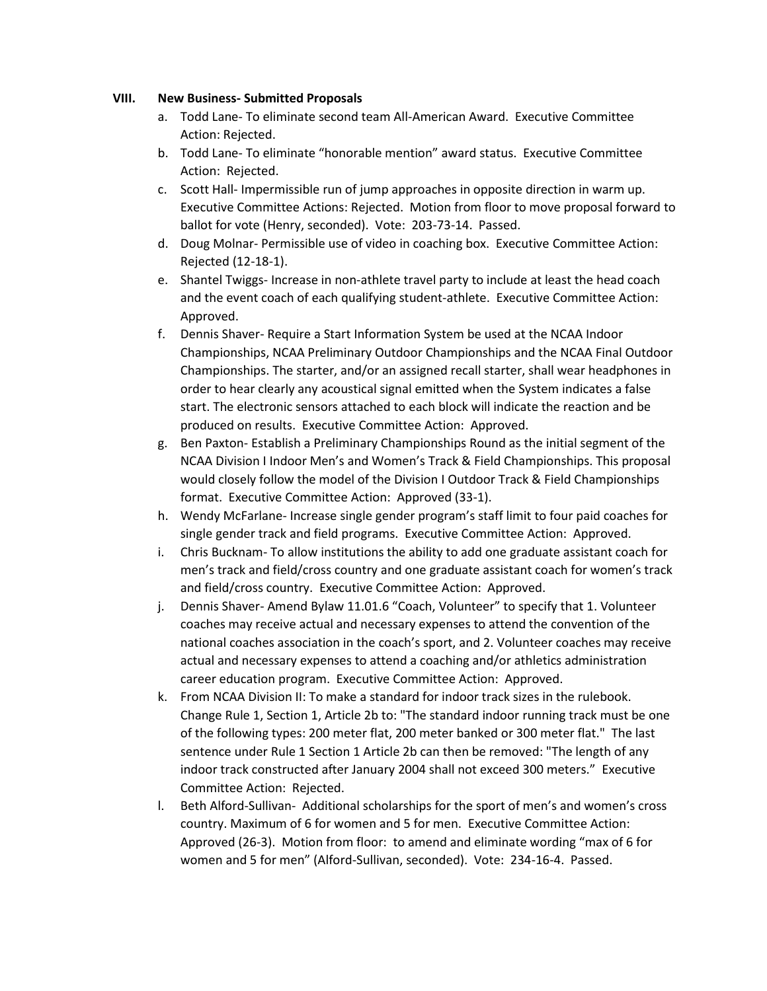#### **VIII. New Business- Submitted Proposals**

- a. Todd Lane- To eliminate second team All-American Award. Executive Committee Action: Rejected.
- b. Todd Lane- To eliminate "honorable mention" award status. Executive Committee Action: Rejected.
- c. Scott Hall- Impermissible run of jump approaches in opposite direction in warm up. Executive Committee Actions: Rejected. Motion from floor to move proposal forward to ballot for vote (Henry, seconded). Vote: 203-73-14. Passed.
- d. Doug Molnar- Permissible use of video in coaching box. Executive Committee Action: Rejected (12-18-1).
- e. Shantel Twiggs- Increase in non-athlete travel party to include at least the head coach and the event coach of each qualifying student-athlete. Executive Committee Action: Approved.
- f. Dennis Shaver- Require a Start Information System be used at the NCAA Indoor Championships, NCAA Preliminary Outdoor Championships and the NCAA Final Outdoor Championships. The starter, and/or an assigned recall starter, shall wear headphones in order to hear clearly any acoustical signal emitted when the System indicates a false start. The electronic sensors attached to each block will indicate the reaction and be produced on results. Executive Committee Action: Approved.
- g. Ben Paxton- Establish a Preliminary Championships Round as the initial segment of the NCAA Division I Indoor Men's and Women's Track & Field Championships. This proposal would closely follow the model of the Division I Outdoor Track & Field Championships format. Executive Committee Action: Approved (33-1).
- h. Wendy McFarlane- Increase single gender program's staff limit to four paid coaches for single gender track and field programs. Executive Committee Action: Approved.
- i. Chris Bucknam- To allow institutions the ability to add one graduate assistant coach for men's track and field/cross country and one graduate assistant coach for women's track and field/cross country. Executive Committee Action: Approved.
- j. Dennis Shaver- Amend Bylaw 11.01.6 "Coach, Volunteer" to specify that 1. Volunteer coaches may receive actual and necessary expenses to attend the convention of the national coaches association in the coach's sport, and 2. Volunteer coaches may receive actual and necessary expenses to attend a coaching and/or athletics administration career education program. Executive Committee Action: Approved.
- k. From NCAA Division II: To make a standard for indoor track sizes in the rulebook. Change Rule 1, Section 1, Article 2b to: "The standard indoor running track must be one of the following types: 200 meter flat, 200 meter banked or 300 meter flat." The last sentence under Rule 1 Section 1 Article 2b can then be removed: "The length of any indoor track constructed after January 2004 shall not exceed 300 meters." Executive Committee Action: Rejected.
- l. Beth Alford-Sullivan- Additional scholarships for the sport of men's and women's cross country. Maximum of 6 for women and 5 for men. Executive Committee Action: Approved (26-3). Motion from floor: to amend and eliminate wording "max of 6 for women and 5 for men" (Alford-Sullivan, seconded). Vote: 234-16-4. Passed.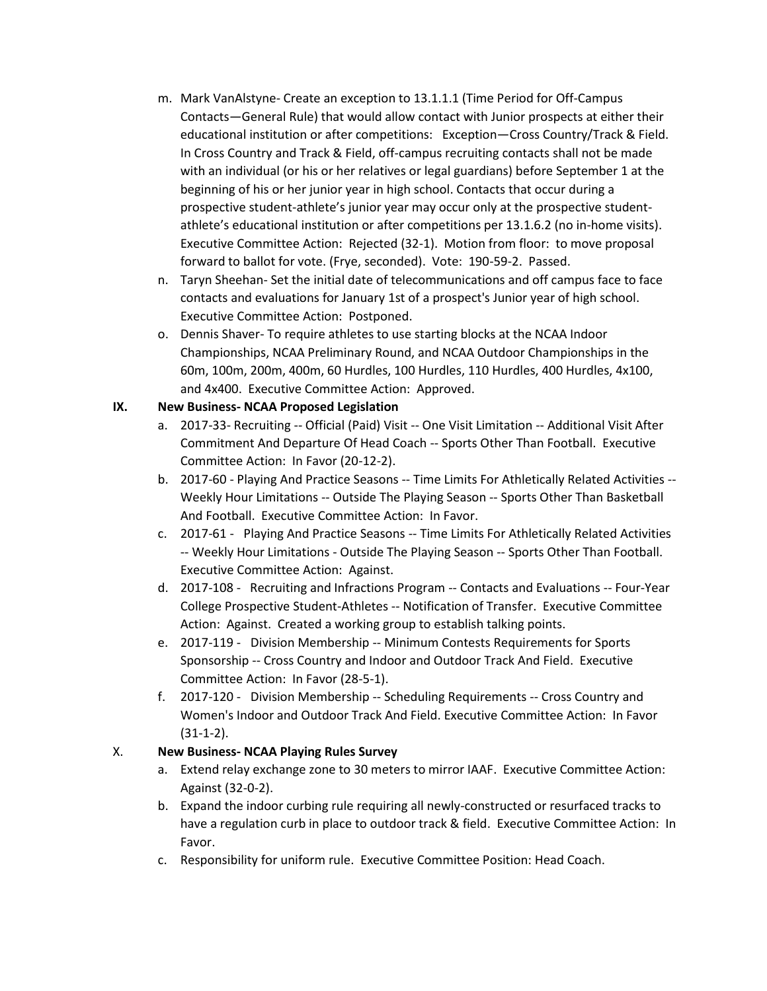- m. Mark VanAlstyne- Create an exception to 13.1.1.1 (Time Period for Off-Campus Contacts—General Rule) that would allow contact with Junior prospects at either their educational institution or after competitions: Exception—Cross Country/Track & Field. In Cross Country and Track & Field, off-campus recruiting contacts shall not be made with an individual (or his or her relatives or legal guardians) before September 1 at the beginning of his or her junior year in high school. Contacts that occur during a prospective student-athlete's junior year may occur only at the prospective studentathlete's educational institution or after competitions per 13.1.6.2 (no in-home visits). Executive Committee Action: Rejected (32-1). Motion from floor: to move proposal forward to ballot for vote. (Frye, seconded). Vote: 190-59-2. Passed.
- n. Taryn Sheehan- Set the initial date of telecommunications and off campus face to face contacts and evaluations for January 1st of a prospect's Junior year of high school. Executive Committee Action: Postponed.
- o. Dennis Shaver- To require athletes to use starting blocks at the NCAA Indoor Championships, NCAA Preliminary Round, and NCAA Outdoor Championships in the 60m, 100m, 200m, 400m, 60 Hurdles, 100 Hurdles, 110 Hurdles, 400 Hurdles, 4x100, and 4x400. Executive Committee Action: Approved.

### **IX. New Business- NCAA Proposed Legislation**

- a. 2017-33- Recruiting -- Official (Paid) Visit -- One Visit Limitation -- Additional Visit After Commitment And Departure Of Head Coach -- Sports Other Than Football. Executive Committee Action: In Favor (20-12-2).
- b. 2017-60 Playing And Practice Seasons -- Time Limits For Athletically Related Activities --Weekly Hour Limitations -- Outside The Playing Season -- Sports Other Than Basketball And Football. Executive Committee Action: In Favor.
- c. 2017-61 Playing And Practice Seasons -- Time Limits For Athletically Related Activities -- Weekly Hour Limitations - Outside The Playing Season -- Sports Other Than Football. Executive Committee Action: Against.
- d. 2017-108 Recruiting and Infractions Program -- Contacts and Evaluations -- Four-Year College Prospective Student-Athletes -- Notification of Transfer. Executive Committee Action: Against. Created a working group to establish talking points.
- e. 2017-119 Division Membership -- Minimum Contests Requirements for Sports Sponsorship -- Cross Country and Indoor and Outdoor Track And Field. Executive Committee Action: In Favor (28-5-1).
- f. 2017-120 Division Membership -- Scheduling Requirements -- Cross Country and Women's Indoor and Outdoor Track And Field. Executive Committee Action: In Favor (31-1-2).

### X. **New Business- NCAA Playing Rules Survey**

- a. Extend relay exchange zone to 30 meters to mirror IAAF. Executive Committee Action: Against (32-0-2).
- b. Expand the indoor curbing rule requiring all newly-constructed or resurfaced tracks to have a regulation curb in place to outdoor track & field. Executive Committee Action: In Favor.
- c. Responsibility for uniform rule. Executive Committee Position: Head Coach.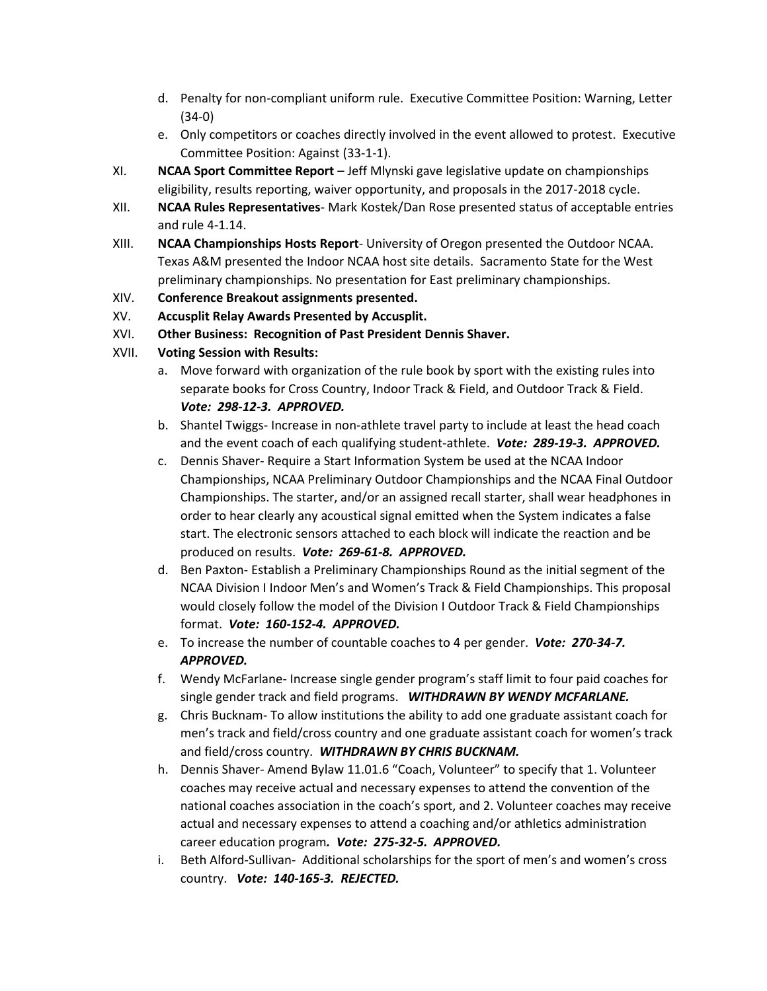- d. Penalty for non-compliant uniform rule. Executive Committee Position: Warning, Letter (34-0)
- e. Only competitors or coaches directly involved in the event allowed to protest. Executive Committee Position: Against (33-1-1).
- XI. **NCAA Sport Committee Report** Jeff Mlynski gave legislative update on championships eligibility, results reporting, waiver opportunity, and proposals in the 2017-2018 cycle.
- XII. **NCAA Rules Representatives** Mark Kostek/Dan Rose presented status of acceptable entries and rule 4-1.14.
- XIII. **NCAA Championships Hosts Report** University of Oregon presented the Outdoor NCAA. Texas A&M presented the Indoor NCAA host site details. Sacramento State for the West preliminary championships. No presentation for East preliminary championships.
- XIV. **Conference Breakout assignments presented.**
- XV. **Accusplit Relay Awards Presented by Accusplit.**
- XVI. **Other Business: Recognition of Past President Dennis Shaver.**
- XVII. **Voting Session with Results:**
	- a. Move forward with organization of the rule book by sport with the existing rules into separate books for Cross Country, Indoor Track & Field, and Outdoor Track & Field. *Vote: 298-12-3. APPROVED.*
	- b. Shantel Twiggs- Increase in non-athlete travel party to include at least the head coach and the event coach of each qualifying student-athlete. *Vote: 289-19-3. APPROVED.*
	- c. Dennis Shaver- Require a Start Information System be used at the NCAA Indoor Championships, NCAA Preliminary Outdoor Championships and the NCAA Final Outdoor Championships. The starter, and/or an assigned recall starter, shall wear headphones in order to hear clearly any acoustical signal emitted when the System indicates a false start. The electronic sensors attached to each block will indicate the reaction and be produced on results. *Vote: 269-61-8. APPROVED.*
	- d. Ben Paxton- Establish a Preliminary Championships Round as the initial segment of the NCAA Division I Indoor Men's and Women's Track & Field Championships. This proposal would closely follow the model of the Division I Outdoor Track & Field Championships format. *Vote: 160-152-4. APPROVED.*
	- e. To increase the number of countable coaches to 4 per gender. *Vote: 270-34-7. APPROVED.*
	- f. Wendy McFarlane- Increase single gender program's staff limit to four paid coaches for single gender track and field programs. *WITHDRAWN BY WENDY MCFARLANE.*
	- g. Chris Bucknam- To allow institutions the ability to add one graduate assistant coach for men's track and field/cross country and one graduate assistant coach for women's track and field/cross country. *WITHDRAWN BY CHRIS BUCKNAM.*
	- h. Dennis Shaver- Amend Bylaw 11.01.6 "Coach, Volunteer" to specify that 1. Volunteer coaches may receive actual and necessary expenses to attend the convention of the national coaches association in the coach's sport, and 2. Volunteer coaches may receive actual and necessary expenses to attend a coaching and/or athletics administration career education program*. Vote: 275-32-5. APPROVED.*
	- i. Beth Alford-Sullivan- Additional scholarships for the sport of men's and women's cross country. *Vote: 140-165-3. REJECTED.*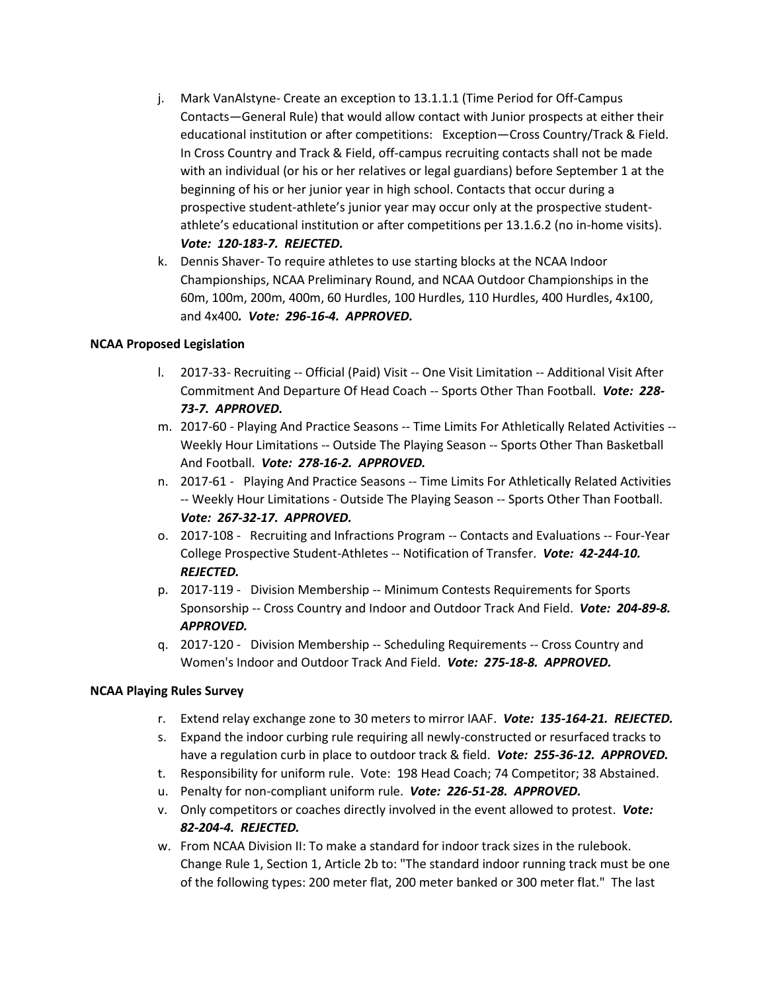- j. Mark VanAlstyne- Create an exception to 13.1.1.1 (Time Period for Off-Campus Contacts—General Rule) that would allow contact with Junior prospects at either their educational institution or after competitions: Exception—Cross Country/Track & Field. In Cross Country and Track & Field, off-campus recruiting contacts shall not be made with an individual (or his or her relatives or legal guardians) before September 1 at the beginning of his or her junior year in high school. Contacts that occur during a prospective student-athlete's junior year may occur only at the prospective studentathlete's educational institution or after competitions per 13.1.6.2 (no in-home visits). *Vote: 120-183-7. REJECTED.*
- k. Dennis Shaver- To require athletes to use starting blocks at the NCAA Indoor Championships, NCAA Preliminary Round, and NCAA Outdoor Championships in the 60m, 100m, 200m, 400m, 60 Hurdles, 100 Hurdles, 110 Hurdles, 400 Hurdles, 4x100, and 4x400*. Vote: 296-16-4. APPROVED.*

#### **NCAA Proposed Legislation**

- l. 2017-33- Recruiting -- Official (Paid) Visit -- One Visit Limitation -- Additional Visit After Commitment And Departure Of Head Coach -- Sports Other Than Football. *Vote: 228- 73-7. APPROVED.*
- m. 2017-60 Playing And Practice Seasons -- Time Limits For Athletically Related Activities -- Weekly Hour Limitations -- Outside The Playing Season -- Sports Other Than Basketball And Football. *Vote: 278-16-2. APPROVED.*
- n. 2017-61 Playing And Practice Seasons -- Time Limits For Athletically Related Activities -- Weekly Hour Limitations - Outside The Playing Season -- Sports Other Than Football. *Vote: 267-32-17. APPROVED.*
- o. 2017-108 Recruiting and Infractions Program -- Contacts and Evaluations -- Four-Year College Prospective Student-Athletes -- Notification of Transfer. *Vote: 42-244-10. REJECTED.*
- p. 2017-119 Division Membership -- Minimum Contests Requirements for Sports Sponsorship -- Cross Country and Indoor and Outdoor Track And Field. *Vote: 204-89-8. APPROVED.*
- q. 2017-120 Division Membership -- Scheduling Requirements -- Cross Country and Women's Indoor and Outdoor Track And Field. *Vote: 275-18-8. APPROVED.*

#### **NCAA Playing Rules Survey**

- r. Extend relay exchange zone to 30 meters to mirror IAAF. *Vote: 135-164-21. REJECTED.*
- s. Expand the indoor curbing rule requiring all newly-constructed or resurfaced tracks to have a regulation curb in place to outdoor track & field. *Vote: 255-36-12. APPROVED.*
- t. Responsibility for uniform rule. Vote: 198 Head Coach; 74 Competitor; 38 Abstained.
- u. Penalty for non-compliant uniform rule. *Vote: 226-51-28. APPROVED.*
- v. Only competitors or coaches directly involved in the event allowed to protest. *Vote: 82-204-4. REJECTED.*
- w. From NCAA Division II: To make a standard for indoor track sizes in the rulebook. Change Rule 1, Section 1, Article 2b to: "The standard indoor running track must be one of the following types: 200 meter flat, 200 meter banked or 300 meter flat." The last